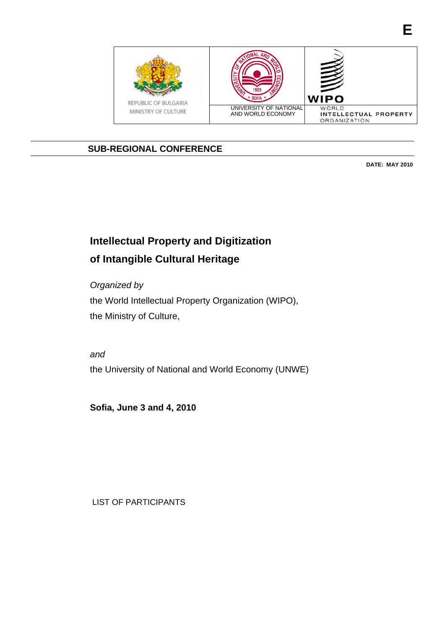

# **SUB-REGIONAL CONFERENCE**

**DATE: MAY 2010** 

**E**

# **Intellectual Property and Digitization of Intangible Cultural Heritage**

*Organized by*  the World Intellectual Property Organization (WIPO), the Ministry of Culture,

*and*  the University of National and World Economy (UNWE)

**Sofia, June 3 and 4, 2010** 

LIST OF PARTICIPANTS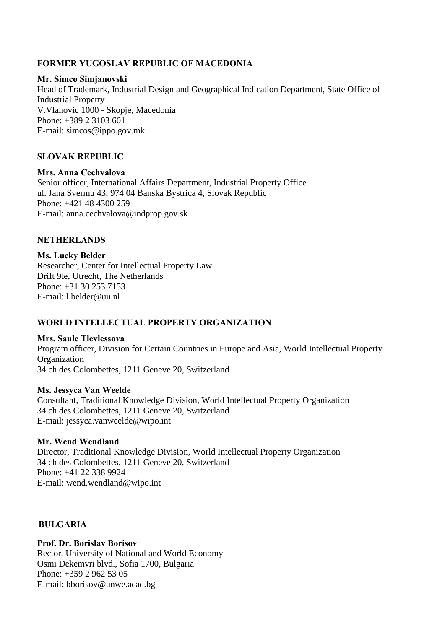# **FORMER YUGOSLAV REPUBLIC OF MACEDONIA**

## **Mr. Simco Simjanovski**

Head of Trademark, Industrial Design and Geographical Indication Department, State Office of Industrial Property V.Vlahovic 1000 - Skopje, Macedonia Phone: +389 2 3103 601 E-mail: simcos@ippo.gov.mk

## **SLOVAK REPUBLIC**

**Mrs. Anna Cechvalova** Senior officer, International Affairs Department, Industrial Property Office ul. Jana Svermu 43, 974 04 Banska Bystrica 4, Slovak Republic Phone: +421 48 4300 259 E-mail: anna.cechvalova@indprop.gov.sk

## **NETHERLANDS**

**Ms. Lucky Belder** Researcher, Center for Intellectual Property Law Drift 9te, Utrecht, The Netherlands Phone: +31 30 253 7153 E-mail: l.belder@uu.nl

# **WORLD INTELLECTUAL PROPERTY ORGANIZATION**

## **Mrs. Saule Tlevlessova**

Program officer, Division for Certain Countries in Europe and Asia, World Intellectual Property **Organization** 34 ch des Colombettes, 1211 Geneve 20, Switzerland

## **Ms. Jessyca Van Weelde**

Consultant, Traditional Knowledge Division, World Intellectual Property Organization 34 ch des Colombettes, 1211 Geneve 20, Switzerland E-mail: jessyca.vanweelde@wipo.int

## **Mr. Wend Wendland**

Director, Traditional Knowledge Division, World Intellectual Property Organization 34 ch des Colombettes, 1211 Geneve 20, Switzerland Phone: +41 22 338 9924 E-mail: wend.wendland@wipo.int

## **BULGARIA**

**Prof. Dr. Borislav Borisov** Rector, University of National and World Economy Osmi Dekemvri blvd., Sofia 1700, Bulgaria Phone: +359 2 962 53 05 E-mail: bborisov@unwe.acad.bg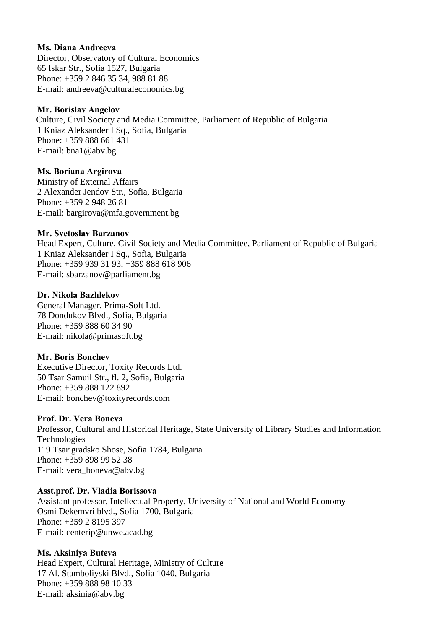## **Ms. Diana Andreeva**

Director, Observatory of Cultural Economics 65 Iskar Str., Sofia 1527, Bulgaria Phone: +359 2 846 35 34, 988 81 88 E-mail: andreeva@culturaleconomics.bg

#### **Mr. Borislav Angelov**

 Culture, Civil Society and Media Committee, Parliament of Republic of Bulgaria 1 Kniaz Aleksander I Sq., Sofia, Bulgaria Phone: +359 888 661 431 E-mail: bna1@abv.bg

## **Ms. Boriana Argirova**

Ministry of External Affairs 2 Alexander Jendov Str., Sofia, Bulgaria Phone: +359 2 948 26 81 E-mail: bargirova@mfa.government.bg

#### **Mr. Svetoslav Barzanov**

Head Expert, Culture, Civil Society and Media Committee, Parliament of Republic of Bulgaria 1 Kniaz Aleksander I Sq., Sofia, Bulgaria Phone: +359 939 31 93, +359 888 618 906 E-mail: sbarzanov@parliament.bg

#### **Dr. Nikola Bazhlekov**

General Manager, Prima-Soft Ltd. 78 Dondukov Blvd., Sofia, Bulgaria Phone: +359 888 60 34 90 E-mail: nikola@primasoft.bg

## **Mr. Boris Bonchev**

Executive Director, Toxity Records Ltd. 50 Tsar Samuil Str., fl. 2, Sofia, Bulgaria Phone: +359 888 122 892 E-mail: bonchev@toxityrecords.com

## **Prof. Dr. Vera Boneva**

Professor, Cultural and Historical Heritage, State University of Library Studies and Information Technologies 119 Tsarigradsko Shose, Sofia 1784, Bulgaria Phone: +359 898 99 52 38 E-mail: vera\_boneva@abv.bg

#### **Asst.prof. Dr. Vladia Borissova**

Assistant professor, Intellectual Property, University of National and World Economy Osmi Dekemvri blvd., Sofia 1700, Bulgaria Phone: +359 2 8195 397 E-mail: centerip@unwe.acad.bg

## **Ms. Aksiniya Buteva**

Head Expert, Cultural Heritage, Ministry of Culture 17 Al. Stamboliyski Blvd., Sofia 1040, Bulgaria Phone: +359 888 98 10 33 E-mail: aksinia@abv.bg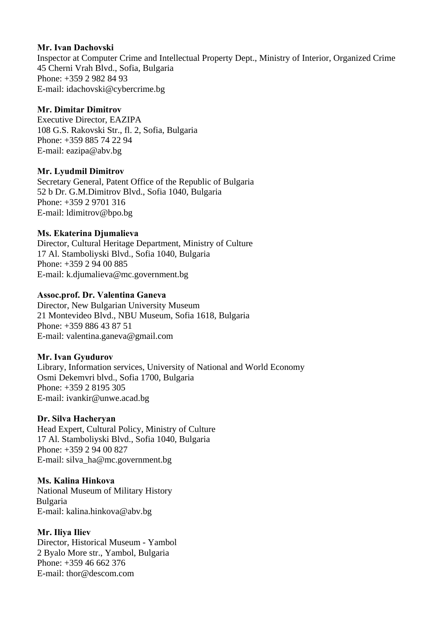## **Mr. Ivan Dachovski**

Inspector at Computer Crime and Intellectual Property Dept., Ministry of Interior, Organized Crime 45 Cherni Vrah Blvd., Sofia, Bulgaria Phone: +359 2 982 84 93 E-mail: idachovski@cybercrime.bg

# **Mr. Dimitar Dimitrov**

Executive Director, EAZIPA 108 G.S. Rakovski Str., fl. 2, Sofia, Bulgaria Phone: +359 885 74 22 94 E-mail: eazipa@abv.bg

# **Mr. Lyudmil Dimitrov**

Secretary General, Patent Office of the Republic of Bulgaria 52 b Dr. G.M.Dimitrov Blvd., Sofia 1040, Bulgaria Phone: +359 2 9701 316 E-mail: ldimitrov@bpo.bg

# **Ms. Ekaterina Djumalieva**

Director, Cultural Heritage Department, Ministry of Culture 17 Al. Stamboliyski Blvd., Sofia 1040, Bulgaria Phone: +359 2 94 00 885 E-mail: k.djumalieva@mc.government.bg

# **Assoc.prof. Dr. Valentina Ganeva**

Director, New Bulgarian University Museum 21 Montevideo Blvd., NBU Museum, Sofia 1618, Bulgaria Phone: +359 886 43 87 51 E-mail: valentina.ganeva@gmail.com

# **Mr. Ivan Gyudurov**

Library, Information services, University of National and World Economy Osmi Dekemvri blvd., Sofia 1700, Bulgaria Phone: +359 2 8195 305 E-mail: ivankir@unwe.acad.bg

# **Dr. Silva Hachеryan**

Head Expert, Cultural Policy, Ministry of Culture 17 Al. Stamboliyski Blvd., Sofia 1040, Bulgaria Phone: +359 2 94 00 827 E-mail: silva\_ha@mc.government.bg

# **Ms. Kalina Hinkova**

National Museum of Military History Bulgaria E-mail: kalina.hinkova@abv.bg

# **Mr. Iliya Iliev**

Director, Historical Museum - Yambol 2 Byalo More str., Yambol, Bulgaria Phone: +359 46 662 376 E-mail: thor@descom.com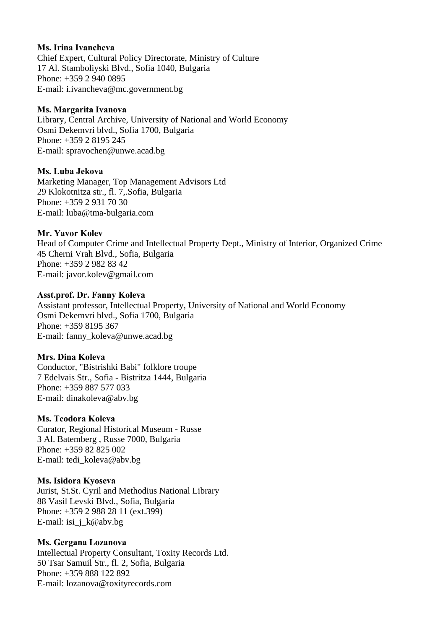## **Ms. Irina Ivancheva**

Chief Expert, Cultural Policy Directorate, Ministry of Culture 17 Al. Stamboliyski Blvd., Sofia 1040, Bulgaria Phone: +359 2 940 0895 E-mail: i.ivancheva@mc.government.bg

#### **Ms. Margarita Ivanova**

Library, Central Archive, University of National and World Economy Osmi Dekemvri blvd., Sofia 1700, Bulgaria Phone: +359 2 8195 245 E-mail: spravochen@unwe.acad.bg

## **Ms. Luba Jekova**

Marketing Manager, Top Management Advisors Ltd 29 Klokotnitza str., fl. 7,.Sofia, Bulgaria Phone: +359 2 931 70 30 E-mail: luba@tma-bulgaria.com

## **Mr. Yavor Kolev**

Head of Computer Crime and Intellectual Property Dept., Ministry of Interior, Organized Crime 45 Cherni Vrah Blvd., Sofia, Bulgaria Phone: +359 2 982 83 42 E-mail: javor.kolev@gmail.com

#### **Asst.prof. Dr. Fanny Koleva**

Assistant professor, Intellectual Property, University of National and World Economy Osmi Dekemvri blvd., Sofia 1700, Bulgaria Phone: +359 8195 367 E-mail: fanny\_koleva@unwe.acad.bg

## **Mrs. Dina Koleva**

Conductor, "Bistrishki Babi" folklore troupe 7 Edelvais Str., Sofia - Bistritza 1444, Bulgaria Phone: +359 887 577 033 E-mail: dinakoleva@abv.bg

## **Ms. Teodora Koleva**

Curator, Regional Historical Museum - Russe 3 Al. Batemberg , Russe 7000, Bulgaria Phone: +359 82 825 002 E-mail: tedi\_koleva@abv.bg

#### **Ms. Isidora Kyoseva**

Jurist, St.St. Cyril and Methodius National Library 88 Vasil Levski Blvd., Sofia, Bulgaria Phone: +359 2 988 28 11 (ext.399) E-mail: isi\_j\_k@abv.bg

## **Ms. Gergana Lozanova**

Intellectual Property Consultant, Toxity Records Ltd. 50 Tsar Samuil Str., fl. 2, Sofia, Bulgaria Phone: +359 888 122 892 E-mail: lozanova@toxityrecords.com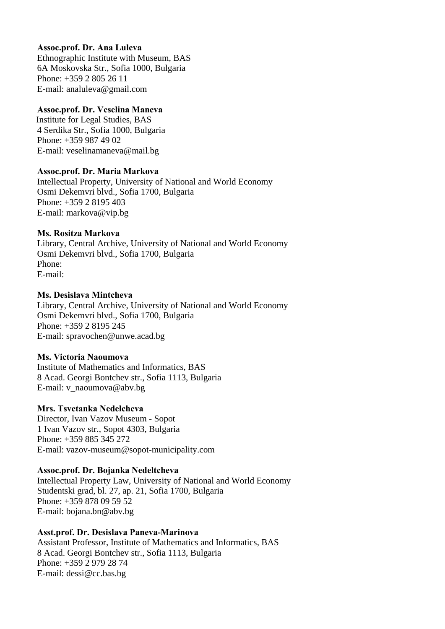## **Assoc.prof. Dr. Ana Luleva**

Ethnographic Institute with Museum, BAS 6A Moskovska Str., Sofia 1000, Bulgaria Phone: +359 2 805 26 11 E-mail: analuleva@gmail.com

# **Assoc.prof. Dr. Veselina Maneva**

 Institute for Legal Studies, BAS 4 Serdika Str., Sofia 1000, Bulgaria Phone: +359 987 49 02 E-mail: veselinamaneva@mail.bg

# **Assoc.prof. Dr. Maria Markova**

Intellectual Property, University of National and World Economy Osmi Dekemvri blvd., Sofia 1700, Bulgaria Phone: +359 2 8195 403 E-mail: markova@vip.bg

## **Ms. Rositza Markova**

Library, Central Archive, University of National and World Economy Osmi Dekemvri blvd., Sofia 1700, Bulgaria Phone: E-mail:

## **Ms. Desislava Mintcheva**

Library, Central Archive, University of National and World Economy Osmi Dekemvri blvd., Sofia 1700, Bulgaria Phone: +359 2 8195 245 E-mail: spravochen@unwe.acad.bg

## **Ms. Victoria Naoumova**

Institute of Mathematics and Informatics, BAS 8 Acad. Georgi Bontchev str., Sofia 1113, Bulgaria E-mail: v\_naoumova@abv.bg

# **Mrs. Tsvetanka Nedelcheva**

Director, Ivan Vazov Museum - Sopot 1 Ivan Vazov str., Sopot 4303, Bulgaria Phone: +359 885 345 272 E-mail: vazov-museum@sopot-municipality.com

# **Assoc.prof. Dr. Bojanka Nedeltcheva**

Intellectual Property Law, University of National and World Economy Studentski grad, bl. 27, ap. 21, Sofia 1700, Bulgaria Phone: +359 878 09 59 52 E-mail: bojana.bn@abv.bg

# **Asst.prof. Dr. Desislava Paneva-Marinova**

Assistant Professor, Institute of Mathematics and Informatics, BAS 8 Acad. Georgi Bontchev str., Sofia 1113, Bulgaria Phone: +359 2 979 28 74 E-mail: dessi@cc.bas.bg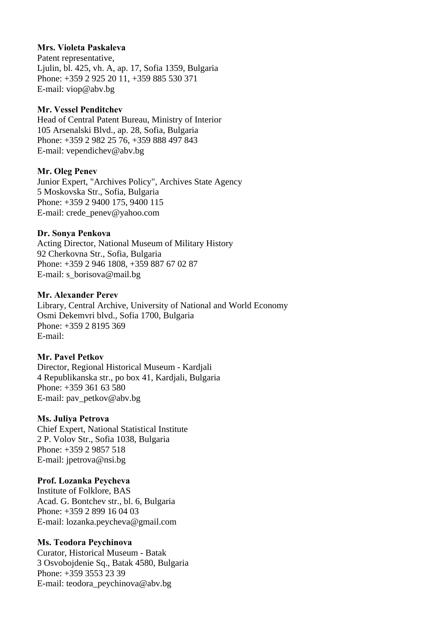## **Mrs. Violeta Paskaleva**

Patent representative, Ljulin, bl. 425, vh. A, ap. 17, Sofia 1359, Bulgaria Phone: +359 2 925 20 11, +359 885 530 371 E-mail: viop@abv.bg

## **Mr. Vessel Penditchev**

Head of Central Patent Bureau, Ministry of Interior 105 Arsenalski Blvd., ap. 28, Sofia, Bulgaria Phone: +359 2 982 25 76, +359 888 497 843 E-mail: vependichev@abv.bg

## **Mr. Oleg Penev**

Junior Expert, "Archives Policy", Archives State Agency 5 Moskovska Str., Sofia, Bulgaria Phone: +359 2 9400 175, 9400 115 E-mail: crede\_penev@yahoo.com

## **Dr. Sonya Penkova**

Acting Director, National Museum of Military History 92 Cherkovna Str., Sofia, Bulgaria Phone: +359 2 946 1808, +359 887 67 02 87 E-mail: s\_borisova@mail.bg

## **Mr. Alexander Perev**

Library, Central Archive, University of National and World Economy Osmi Dekemvri blvd., Sofia 1700, Bulgaria Phone: +359 2 8195 369 E-mail:

# **Mr. Pavel Petkov**

Director, Regional Historical Museum - Kardjali 4 Republikanska str., po box 41, Kardjali, Bulgaria Phone: +359 361 63 580 E-mail: pav\_petkov@abv.bg

## **Ms. Juliya Petrova**

Chief Expert, National Statistical Institute 2 P. Volov Str., Sofia 1038, Bulgaria Phone: +359 2 9857 518 E-mail: jpetrova@nsi.bg

# **Prof. Lozanka Peycheva**

Institute of Folklore, BAS Acad. G. Bontchev str., bl. 6, Bulgaria Phone: +359 2 899 16 04 03 E-mail: lozanka.peycheva@gmail.com

## **Ms. Teodora Peychinova**

Curator, Historical Museum - Batak 3 Osvobojdenie Sq., Batak 4580, Bulgaria Phone: +359 3553 23 39 E-mail: teodora\_peychinova@abv.bg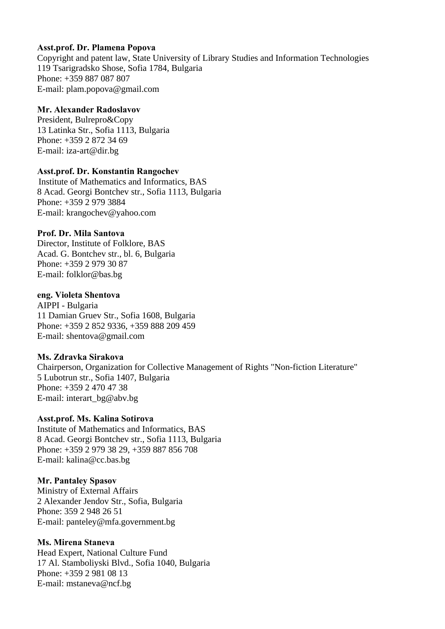## **Asst.prof. Dr. Plamena Popova**

Copyright and patent law, State University of Library Studies and Information Technologies 119 Tsarigradsko Shose, Sofia 1784, Bulgaria Phone: +359 887 087 807 E-mail: plam.popova@gmail.com

## **Mr. Alexander Radoslavov**

President, Bulrepro&Copy 13 Latinka Str., Sofia 1113, Bulgaria Phone: +359 2 872 34 69 E-mail: iza-art@dir.bg

## **Asst.prof. Dr. Konstantin Rangochev**

 Institute of Mathematics and Informatics, BAS 8 Acad. Georgi Bontchev str., Sofia 1113, Bulgaria Phone: +359 2 979 3884 E-mail: krangochev@yahoo.com

# **Prof. Dr. Mila Santova**

Director, Institute of Folklore, BAS Acad. G. Bontchev str., bl. 6, Bulgaria Phone: +359 2 979 30 87 E-mail: folklor@bas.bg

## **eng. Violeta Shentova**

AIPPI - Bulgaria 11 Damian Gruev Str., Sofia 1608, Bulgaria Phone: +359 2 852 9336, +359 888 209 459 E-mail: shentova@gmail.com

# **Ms. Zdravka Sirakova**

Chairperson, Organization for Collective Management of Rights "Non-fiction Literature" 5 Lubotrun str., Sofia 1407, Bulgaria Phone: +359 2 470 47 38 E-mail: interart\_bg@abv.bg

# **Asst.prof. Ms. Kalina Sotirova**

Institute of Mathematics and Informatics, BAS 8 Acad. Georgi Bontchev str., Sofia 1113, Bulgaria Phone: +359 2 979 38 29, +359 887 856 708 E-mail: kalina@cc.bas.bg

## **Mr. Pantaley Spasov**

Ministry of External Affairs 2 Alexander Jendov Str., Sofia, Bulgaria Phone: 359 2 948 26 51 E-mail: panteley@mfa.government.bg

## **Ms. Mirena Staneva**

Head Expert, National Culture Fund 17 Al. Stamboliyski Blvd., Sofia 1040, Bulgaria Phone: +359 2 981 08 13 E-mail: mstaneva@ncf.bg